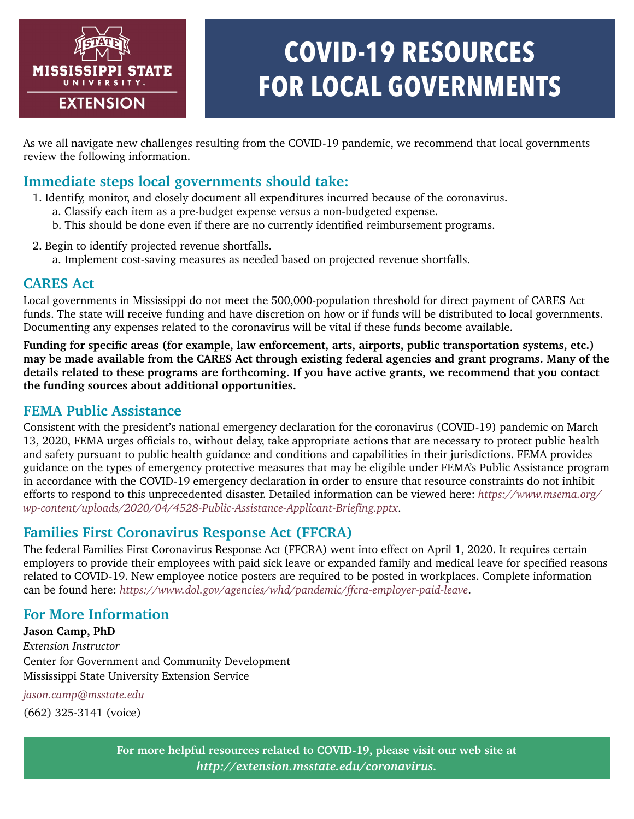

# **COVID-19 RESOURCES FOR LOCAL GOVERNMENTS**

As we all navigate new challenges resulting from the COVID-19 pandemic, we recommend that local governments review the following information.

# **Immediate steps local governments should take:**

- 1. Identify, monitor, and closely document all expenditures incurred because of the coronavirus.
	- a. Classify each item as a pre-budget expense versus a non-budgeted expense.
	- b. This should be done even if there are no currently identified reimbursement programs.
- 2. Begin to identify projected revenue shortfalls.
	- a. Implement cost-saving measures as needed based on projected revenue shortfalls.

#### **CARES Act**

Local governments in Mississippi do not meet the 500,000-population threshold for direct payment of CARES Act funds. The state will receive funding and have discretion on how or if funds will be distributed to local governments. Documenting any expenses related to the coronavirus will be vital if these funds become available.

**Funding for specific areas (for example, law enforcement, arts, airports, public transportation systems, etc.) may be made available from the CARES Act through existing federal agencies and grant programs. Many of the details related to these programs are forthcoming. If you have active grants, we recommend that you contact the funding sources about additional opportunities.**

### **FEMA Public Assistance**

Consistent with the president's national emergency declaration for the coronavirus (COVID-19) pandemic on March 13, 2020, FEMA urges officials to, without delay, take appropriate actions that are necessary to protect public health and safety pursuant to public health guidance and conditions and capabilities in their jurisdictions. FEMA provides guidance on the types of emergency protective measures that may be eligible under FEMA's Public Assistance program in accordance with the COVID-19 emergency declaration in order to ensure that resource constraints do not inhibit efforts to respond to this unprecedented disaster. Detailed information can be viewed here: *[https://www.msema.org/](https://www.msema.org/wp-content/uploads/2020/04/4528-Public-Assistance-Applicant-Briefing.pptx) [wp-content/uploads/2020/04/4528-Public-Assistance-Applicant-Briefing.pptx](https://www.msema.org/wp-content/uploads/2020/04/4528-Public-Assistance-Applicant-Briefing.pptx)*.

# **Families First Coronavirus Response Act (FFCRA)**

The federal Families First Coronavirus Response Act (FFCRA) went into effect on April 1, 2020. It requires certain employers to provide their employees with paid sick leave or expanded family and medical leave for specified reasons related to COVID-19. New employee notice posters are required to be posted in workplaces. Complete information can be found here: *<https://www.dol.gov/agencies/whd/pandemic/ffcra-employer-paid-leave>*.

# **For More Information**

**Jason Camp, PhD** *Extension Instructor* Center for Government and Community Development Mississippi State University Extension Service

*[jason.camp@msstate.edu](mailto:jason.camp@msstate.edu)*

(662) 325-3141 (voice)

**For more helpful resources related to COVID-19, please visit our web site at**  *[http://extension.msstate.edu/coronavirus.](http://extension.msstate.edu/coronavirus)*